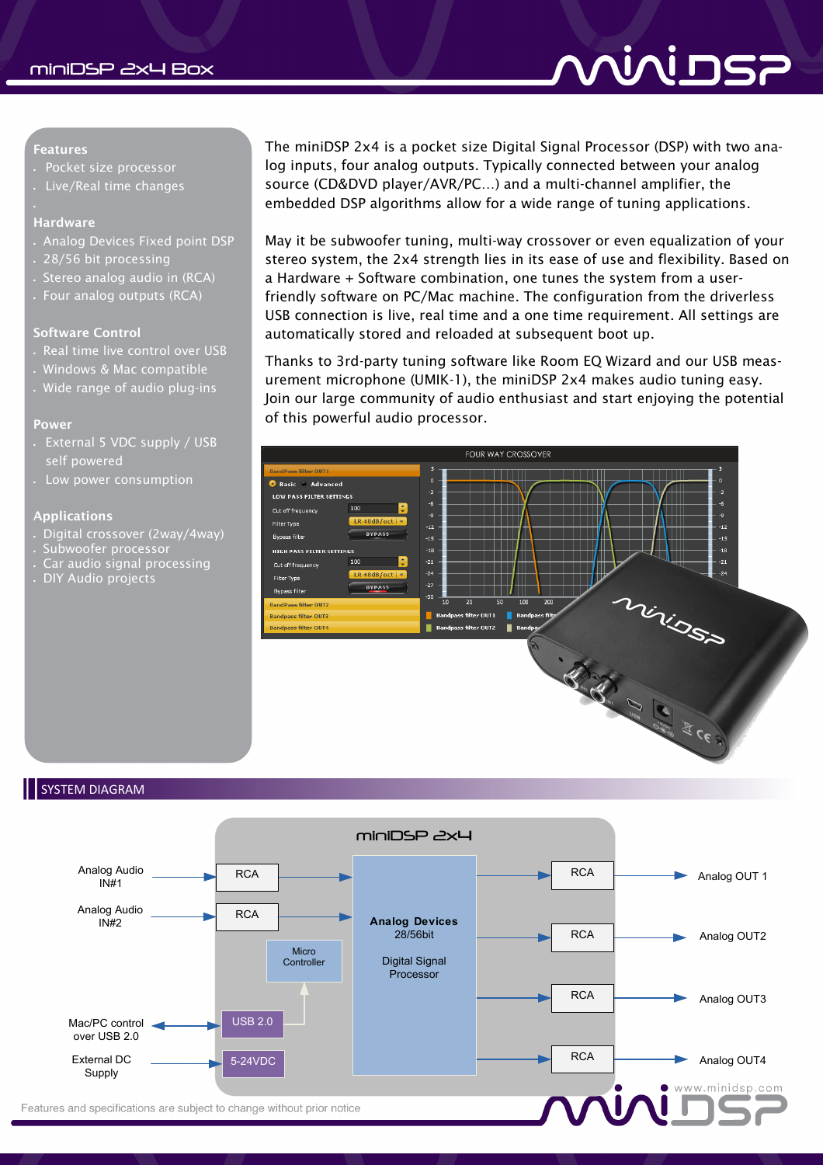# <u>AINI NS7</u>

#### **Features**

- Pocket size processor
- Live/Real time changes

#### **Hardware**

ç

- Analog Devices Fixed point DSP
- 28/56 bit processing
- Stereo analog audio in (RCA)
- Four analog outputs (RCA)

#### **Software Control**

- . Real time live control over USB
- Windows & Mac compatible
- Wide range of audio plug-ins

#### **Power**

- External 5 VDC supply / USB self powered
- Low power consumption

#### **Applications**

- Digital crossover (2way/4way)
- Subwoofer processor
- Car audio signal processing
- DIY Audio projects

The miniDSP 2x4 is a pocket size Digital Signal Processor (DSP) with two analog inputs, four analog outputs. Typically connected between your analog source (CD&DVD player/AVR/PC…) and a multi-channel amplifier, the embedded DSP algorithms allow for a wide range of tuning applications.

May it be subwoofer tuning, multi-way crossover or even equalization of your stereo system, the 2x4 strength lies in its ease of use and flexibility. Based on a Hardware + Software combination, one tunes the system from a userfriendly software on PC/Mac machine. The configuration from the driverless USB connection is live, real time and a one time requirement. All settings are automatically stored and reloaded at subsequent boot up.

Thanks to 3rd-party tuning software like Room EQ Wizard and our USB measurement microphone (UMIK-1), the miniDSP 2x4 makes audio tuning easy. Join our large community of audio enthusiast and start enjoying the potential of this powerful audio processor.



#### SYSTEM DIAGRAM